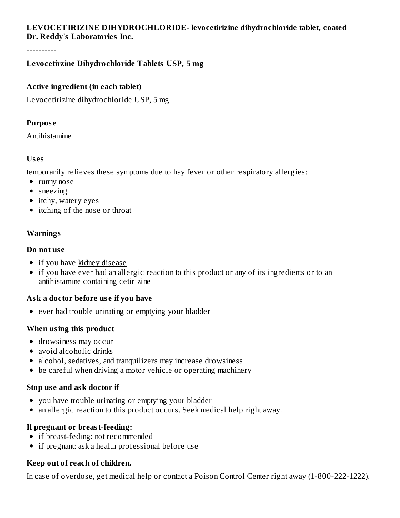## **LEVOCETIRIZINE DIHYDROCHLORIDE- levocetirizine dihydrochloride tablet, coated Dr. Reddy's Laboratories Inc.**

----------

#### **Levocetirzine Dihydrochloride Tablets USP, 5 mg**

#### **Active ingredient (in each tablet)**

Levocetirizine dihydrochloride USP, 5 mg

#### **Purpos e**

Antihistamine

#### **Us es**

temporarily relieves these symptoms due to hay fever or other respiratory allergies:

- runny nose
- sneezing
- itchy, watery eyes
- itching of the nose or throat

## **Warnings**

#### **Do not us e**

- if you have kidney disease
- if you have ever had an allergic reaction to this product or any of its ingredients or to an antihistamine containing cetirizine

## **Ask a doctor before us e if you have**

• ever had trouble urinating or emptying your bladder

## **When using this product**

- drowsiness may occur
- avoid alcoholic drinks
- alcohol, sedatives, and tranquilizers may increase drowsiness
- be careful when driving a motor vehicle or operating machinery

#### **Stop us e and ask doctor if**

- you have trouble urinating or emptying your bladder
- an allergic reaction to this product occurs. Seek medical help right away.

## **If pregnant or breast-feeding:**

- if breast-feding: not recommended
- if pregnant: ask a health professional before use

## **Keep out of reach of children.**

In case of overdose, get medical help or contact a Poison Control Center right away (1-800-222-1222).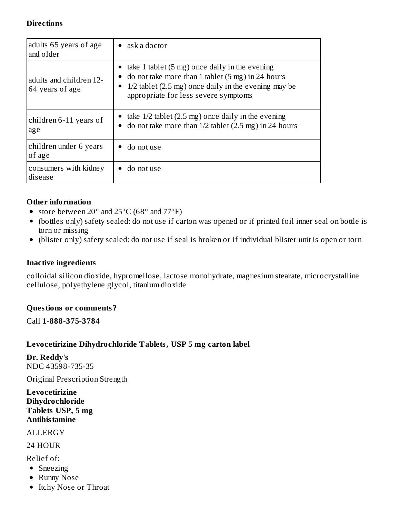#### **Directions**

| adults 65 years of age<br>and older        | $\bullet$ ask a doctor                                                                                                                                                                                                      |  |  |
|--------------------------------------------|-----------------------------------------------------------------------------------------------------------------------------------------------------------------------------------------------------------------------------|--|--|
| adults and children 12-<br>64 years of age | • take 1 tablet $(5 \text{ mg})$ once daily in the evening<br>do not take more than 1 tablet $(5 \text{ mg})$ in 24 hours<br>$1/2$ tablet (2.5 mg) once daily in the evening may be<br>appropriate for less severe symptoms |  |  |
| children 6-11 years of<br>age              | • take $1/2$ tablet (2.5 mg) once daily in the evening<br>do not take more than $1/2$ tablet $(2.5 \text{ mg})$ in 24 hours                                                                                                 |  |  |
| children under 6 years<br>of age           | do not use                                                                                                                                                                                                                  |  |  |
| consumers with kidney<br>disease           | do not use                                                                                                                                                                                                                  |  |  |

#### **Other information**

- store between  $20^{\circ}$  and  $25^{\circ}$ C (68 $^{\circ}$  and  $77^{\circ}$ F)
- (bottles only) safety sealed: do not use if carton was opened or if printed foil inner seal on bottle is torn or missing
- (blister only) safety sealed: do not use if seal is broken or if individual blister unit is open or torn

#### **Inactive ingredients**

colloidal silicon dioxide, hypromellose, lactose monohydrate, magnesium stearate, microcrystalline cellulose, polyethylene glycol, titanium dioxide

#### **Questions or comments?**

Call **1-888-375-3784**

#### **Levocetirizine Dihydrochloride Tablets, USP 5 mg carton label**

**Dr. Reddy's** NDC 43598-735-35

Original Prescription Strength

**Levocetirizine Dihydrochloride Tablets USP, 5 mg Antihistamine**

ALLERGY

24 HOUR

Relief of:

- Sneezing
- Runny Nose
- Itchy Nose or Throat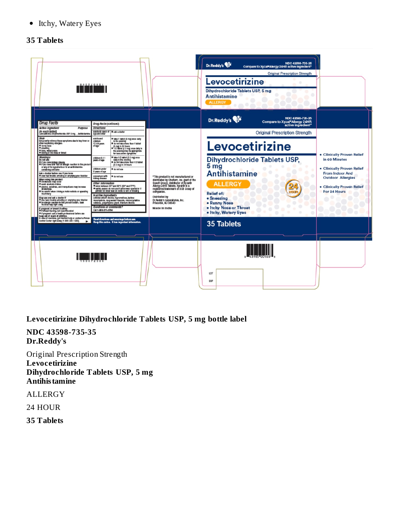• Itchy, Watery Eyes

#### **35 Tablets**



**Levocetirizine Dihydrochloride Tablets USP, 5 mg bottle label**

**NDC 43598-735-35 Dr.Reddy's**

Original Prescription Strength **Levocetirizine Dihydrochloride Tablets USP, 5 mg Antihistamine**

ALLERGY

24 HOUR

**35 Tablets**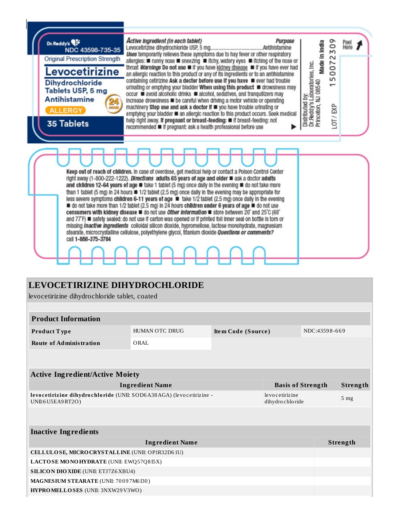

## **LEVOCETIRIZINE DIHYDROCHLORIDE**

levocetirizine dihydrochloride tablet, coated

| ie vocetii izine "diriydrochloride" tablet, "coated"                                                                           |                                       |  |  |                           |  |
|--------------------------------------------------------------------------------------------------------------------------------|---------------------------------------|--|--|---------------------------|--|
|                                                                                                                                |                                       |  |  |                           |  |
|                                                                                                                                |                                       |  |  |                           |  |
| <b>HUMAN OTC DRUG</b><br>Item Code (Source)<br><b>Product Type</b>                                                             |                                       |  |  |                           |  |
| ORAL                                                                                                                           |                                       |  |  |                           |  |
|                                                                                                                                |                                       |  |  |                           |  |
|                                                                                                                                |                                       |  |  |                           |  |
| <b>Active Ingredient/Active Moiety</b>                                                                                         |                                       |  |  |                           |  |
| <b>Ingredient Name</b><br><b>Basis of Strength</b><br>Strength                                                                 |                                       |  |  |                           |  |
| levocetirizine dihydrochloride (UNII: SOD6A38AGA) (levocetirizine -<br>levocetirizine<br>dihydrochloride<br>UNII:6 U5EA9 RT2O) |                                       |  |  | 5 <sub>mg</sub>           |  |
|                                                                                                                                |                                       |  |  |                           |  |
|                                                                                                                                |                                       |  |  |                           |  |
|                                                                                                                                |                                       |  |  |                           |  |
| <b>Ingredient Name</b>                                                                                                         |                                       |  |  |                           |  |
| CELLULOSE, MICRO CRYSTALLINE (UNII: OP1R32D61U)                                                                                |                                       |  |  |                           |  |
| LACTOSE MONOHYDRATE (UNII: EWQ57Q8I5X)                                                                                         |                                       |  |  |                           |  |
| <b>SILICON DIO XIDE (UNII: ETJ7Z6XBU4)</b>                                                                                     |                                       |  |  |                           |  |
|                                                                                                                                | MAGNESIUM STEARATE (UNII: 70097M6I30) |  |  |                           |  |
|                                                                                                                                |                                       |  |  | NDC:43598-669<br>Strength |  |

**HYPROMELLOSES** (UNII: 3NXW29V3WO)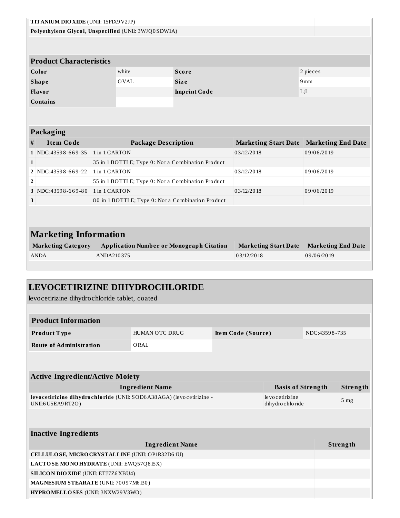| TITANIUM DIO XIDE (UNII: 15FIX9V2JP)                |               |       |                                                           |                             |                                         |  |
|-----------------------------------------------------|---------------|-------|-----------------------------------------------------------|-----------------------------|-----------------------------------------|--|
| Polyethylene Glycol, Unspecified (UNII: 3WJQ0SDW1A) |               |       |                                                           |                             |                                         |  |
|                                                     |               |       |                                                           |                             |                                         |  |
| <b>Product Characteristics</b>                      |               |       |                                                           |                             |                                         |  |
| Color                                               |               | white | Score                                                     |                             | 2 pieces                                |  |
| <b>Shape</b>                                        |               | OVAL  | <b>Size</b>                                               |                             | 9 <sub>mm</sub>                         |  |
| Flavor                                              |               |       | <b>Imprint Code</b>                                       |                             | L: L                                    |  |
| <b>Contains</b>                                     |               |       |                                                           |                             |                                         |  |
|                                                     |               |       |                                                           |                             |                                         |  |
|                                                     |               |       |                                                           |                             |                                         |  |
| Packaging                                           |               |       |                                                           |                             |                                         |  |
| <b>Item Code</b><br>#                               |               |       | <b>Package Description</b><br><b>Marketing Start Date</b> |                             |                                         |  |
|                                                     | 1 in 1 CARTON |       |                                                           |                             |                                         |  |
| 1 NDC:43598-669-35                                  |               |       |                                                           | 03/12/2018                  | 09/06/2019                              |  |
| 1                                                   |               |       | 35 in 1 BOTTLE; Type 0: Not a Combination Product         |                             |                                         |  |
| 2 NDC:43598-669-22                                  | 1 in 1 CARTON |       |                                                           | 03/12/2018                  | 09/06/2019                              |  |
| $\overline{2}$                                      |               |       | 55 in 1 BOTTLE; Type 0: Not a Combination Product         |                             |                                         |  |
| 3 NDC:43598-669-80                                  | 1 in 1 CARTON |       |                                                           | 03/12/2018                  | <b>Marketing End Date</b><br>09/06/2019 |  |
| 3                                                   |               |       | 80 in 1 BOTTLE; Type 0: Not a Combination Product         |                             |                                         |  |
|                                                     |               |       |                                                           |                             |                                         |  |
|                                                     |               |       |                                                           |                             |                                         |  |
| <b>Marketing Information</b>                        |               |       |                                                           |                             |                                         |  |
| <b>Marketing Category</b>                           |               |       | <b>Application Number or Monograph Citation</b>           | <b>Marketing Start Date</b> | <b>Marketing End Date</b>               |  |

## **LEVOCETIRIZINE DIHYDROCHLORIDE**

levocetirizine dihydrochloride tablet, coated

| <b>Product Information</b>     |                |                    |               |  |  |
|--------------------------------|----------------|--------------------|---------------|--|--|
| <b>Product Type</b>            | HUMAN OTC DRUG | Item Code (Source) | NDC:43598-735 |  |  |
| <b>Route of Administration</b> | ORAL           |                    |               |  |  |

| <b>Active Ingredient/Active Moiety</b>                                                     |                                      |                 |  |
|--------------------------------------------------------------------------------------------|--------------------------------------|-----------------|--|
| Ingredient Name                                                                            | <b>Basis of Strength</b>             | Strength        |  |
| levocetirizine dihydrochloride (UNII: SOD6A38AGA) (levocetirizine -<br>UNII:6 U5E A9 RT2O) | le vocetirizine<br>dihydro chlo ride | 5 <sub>mg</sub> |  |

| <b>Inactive Ingredients</b>                     |          |  |  |  |
|-------------------------------------------------|----------|--|--|--|
| <b>Ingredient Name</b>                          | Strength |  |  |  |
| CELLULOSE, MICRO CRYSTALLINE (UNII: OP1R32D61U) |          |  |  |  |
| LACTOSE MONOHYDRATE (UNII: EWQ57Q815X)          |          |  |  |  |
| <b>SILICON DIO XIDE (UNII: ETJ7Z6XBU4)</b>      |          |  |  |  |
| <b>MAGNESIUM STEARATE (UNII: 70097M6I30)</b>    |          |  |  |  |
| HYPROMELLOSES (UNII: 3NXW29V3WO)                |          |  |  |  |
|                                                 |          |  |  |  |